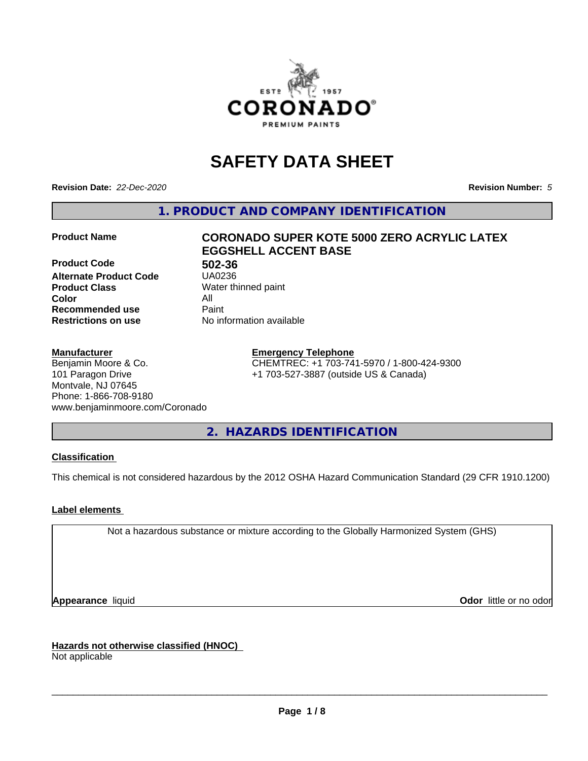

# **SAFETY DATA SHEET**

**Revision Date:** *22-Dec-2020* **Revision Number:** *5*

**1. PRODUCT AND COMPANY IDENTIFICATION**

**Product Code 61 1802-36**<br>**Alternate Product Code 61 150236 Alternate Product Code Product Class** Water thinned paint<br> **Color** All **Color** All **Recommended use Caint Restrictions on use** No information available

# **Product Name CORONADO SUPER KOTE 5000 ZERO ACRYLIC LATEX EGGSHELL ACCENT BASE**

#### **Manufacturer**

Benjamin Moore & Co. 101 Paragon Drive Montvale, NJ 07645 Phone: 1-866-708-9180 www.benjaminmoore.com/Coronado

#### **Emergency Telephone**

CHEMTREC: +1 703-741-5970 / 1-800-424-9300 +1 703-527-3887 (outside US & Canada)

**2. HAZARDS IDENTIFICATION**

# **Classification**

This chemical is not considered hazardous by the 2012 OSHA Hazard Communication Standard (29 CFR 1910.1200)

# **Label elements**

Not a hazardous substance or mixture according to the Globally Harmonized System (GHS)

**Appearance** liquid **Contract Contract Contract Contract Contract Contract Contract Contract Contract Contract Contract Contract Contract Contract Contract Contract Contract Contract Contract Contract Contract Contract Con** 

**Hazards not otherwise classified (HNOC)**

Not applicable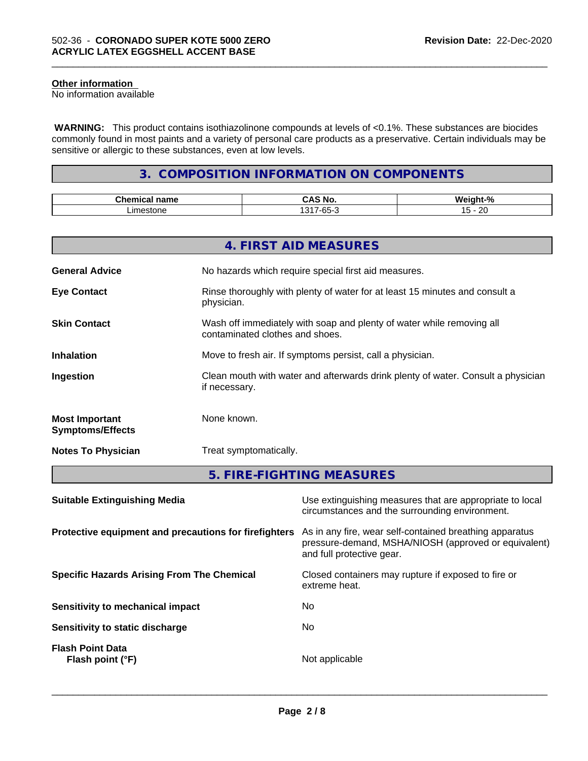# **Other information**

No information available

 **WARNING:** This product contains isothiazolinone compounds at levels of <0.1%. These substances are biocides commonly found in most paints and a variety of personal care products as a preservative. Certain individuals may be sensitive or allergic to these substances, even at low levels.

\_\_\_\_\_\_\_\_\_\_\_\_\_\_\_\_\_\_\_\_\_\_\_\_\_\_\_\_\_\_\_\_\_\_\_\_\_\_\_\_\_\_\_\_\_\_\_\_\_\_\_\_\_\_\_\_\_\_\_\_\_\_\_\_\_\_\_\_\_\_\_\_\_\_\_\_\_\_\_\_\_\_\_\_\_\_\_\_\_\_\_\_\_

# **3. COMPOSITION INFORMATION ON COMPONENTS**

| $-1$<br>$ -$<br>name<br>шка | ਂ Nc                                                             | . .<br>n              |
|-----------------------------|------------------------------------------------------------------|-----------------------|
| ım<br>iestoni<br>ıt         | $\Lambda$ $\Omega$ $\Lambda$ $-$<br>$\sim$ $\sim$<br>$-0$<br>ิบม | $\sim$<br>$\sim$<br>. |

|                                                  | 4. FIRST AID MEASURES                                                                                    |
|--------------------------------------------------|----------------------------------------------------------------------------------------------------------|
| <b>General Advice</b>                            | No hazards which require special first aid measures.                                                     |
| <b>Eye Contact</b>                               | Rinse thoroughly with plenty of water for at least 15 minutes and consult a<br>physician.                |
| <b>Skin Contact</b>                              | Wash off immediately with soap and plenty of water while removing all<br>contaminated clothes and shoes. |
| <b>Inhalation</b>                                | Move to fresh air. If symptoms persist, call a physician.                                                |
| Ingestion                                        | Clean mouth with water and afterwards drink plenty of water. Consult a physician<br>if necessary.        |
| <b>Most Important</b><br><b>Symptoms/Effects</b> | None known.                                                                                              |
| <b>Notes To Physician</b>                        | Treat symptomatically.                                                                                   |
|                                                  | 5. FIRE-FIGHTING MEASURES                                                                                |

| Use extinguishing measures that are appropriate to local<br>circumstances and the surrounding environment.                                   |
|----------------------------------------------------------------------------------------------------------------------------------------------|
| As in any fire, wear self-contained breathing apparatus<br>pressure-demand, MSHA/NIOSH (approved or equivalent)<br>and full protective gear. |
| Closed containers may rupture if exposed to fire or<br>extreme heat.                                                                         |
| No.                                                                                                                                          |
| No.                                                                                                                                          |
| Not applicable                                                                                                                               |
|                                                                                                                                              |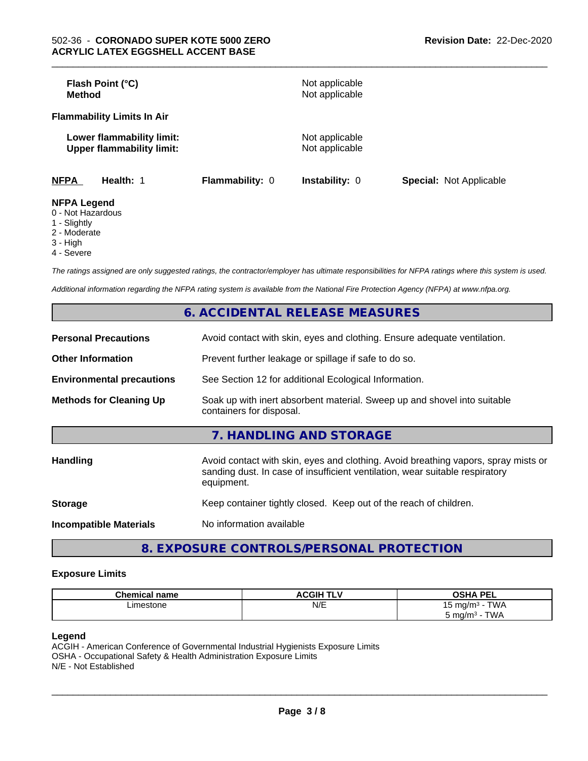| Flash Point (°C)<br><b>Method</b>                             |                 | Not applicable<br>Not applicable |                                |
|---------------------------------------------------------------|-----------------|----------------------------------|--------------------------------|
| <b>Flammability Limits In Air</b>                             |                 |                                  |                                |
| Lower flammability limit:<br><b>Upper flammability limit:</b> |                 | Not applicable<br>Not applicable |                                |
| <b>NFPA</b><br>Health: 1                                      | Flammability: 0 | <b>Instability: 0</b>            | <b>Special: Not Applicable</b> |
| <b>NFPA Legend</b>                                            |                 |                                  |                                |

- 0 Not Hazardous
- 1 Slightly
- 2 Moderate
- 3 High
- 4 Severe

*The ratings assigned are only suggested ratings, the contractor/employer has ultimate responsibilities for NFPA ratings where this system is used.*

*Additional information regarding the NFPA rating system is available from the National Fire Protection Agency (NFPA) at www.nfpa.org.*

|                                  | 6. ACCIDENTAL RELEASE MEASURES                                                                                                                                                   |
|----------------------------------|----------------------------------------------------------------------------------------------------------------------------------------------------------------------------------|
| <b>Personal Precautions</b>      | Avoid contact with skin, eyes and clothing. Ensure adequate ventilation.                                                                                                         |
| <b>Other Information</b>         | Prevent further leakage or spillage if safe to do so.                                                                                                                            |
| <b>Environmental precautions</b> | See Section 12 for additional Ecological Information.                                                                                                                            |
| <b>Methods for Cleaning Up</b>   | Soak up with inert absorbent material. Sweep up and shovel into suitable<br>containers for disposal.                                                                             |
|                                  | 7. HANDLING AND STORAGE                                                                                                                                                          |
| <b>Handling</b>                  | Avoid contact with skin, eyes and clothing. Avoid breathing vapors, spray mists or<br>sanding dust. In case of insufficient ventilation, wear suitable respiratory<br>equipment. |
| <b>Storage</b>                   | Keep container tightly closed. Keep out of the reach of children.                                                                                                                |
| <b>Incompatible Materials</b>    | No information available                                                                                                                                                         |
|                                  |                                                                                                                                                                                  |

**8. EXPOSURE CONTROLS/PERSONAL PROTECTION**

#### **Exposure Limits**

| <b>Cham.</b><br>name | <b>CGIH TI</b> | <b>DEI</b><br>י ביס<br>--               |
|----------------------|----------------|-----------------------------------------|
| imestone<br>.        | N/E            | T111<br>ัm∩/mง<br>v v r<br>ີ            |
|                      |                | TWA<br>$m \alpha/m$<br>.<br>ັ<br>$\sim$ |

# **Legend**

ACGIH - American Conference of Governmental Industrial Hygienists Exposure Limits OSHA - Occupational Safety & Health Administration Exposure Limits N/E - Not Established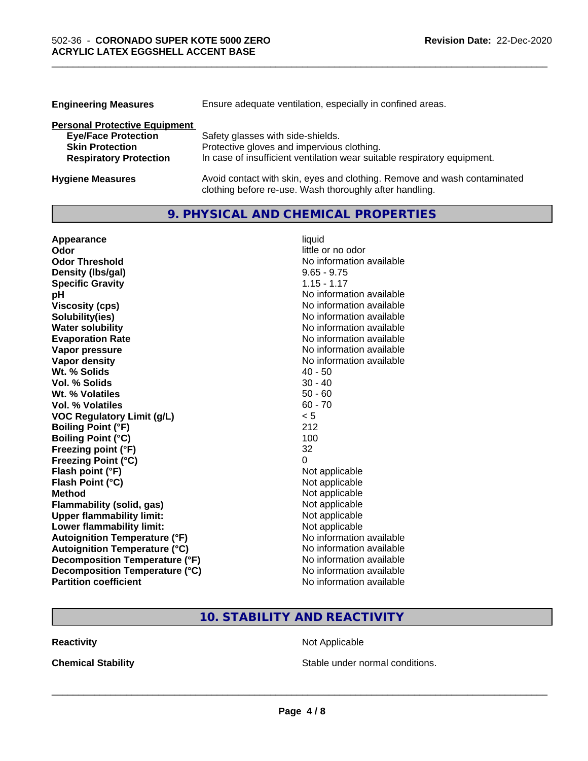| <b>Engineering Measures</b>          | Ensure adequate ventilation, especially in confined areas.               |  |  |
|--------------------------------------|--------------------------------------------------------------------------|--|--|
| <b>Personal Protective Equipment</b> |                                                                          |  |  |
| <b>Eye/Face Protection</b>           | Safety glasses with side-shields.                                        |  |  |
| <b>Skin Protection</b>               | Protective gloves and impervious clothing.                               |  |  |
| <b>Respiratory Protection</b>        | In case of insufficient ventilation wear suitable respiratory equipment. |  |  |
| <b>Hygiene Measures</b>              | Avoid contact with skin, eyes and clothing. Remove and wash contaminated |  |  |

clothing before re-use. Wash thoroughly after handling.

\_\_\_\_\_\_\_\_\_\_\_\_\_\_\_\_\_\_\_\_\_\_\_\_\_\_\_\_\_\_\_\_\_\_\_\_\_\_\_\_\_\_\_\_\_\_\_\_\_\_\_\_\_\_\_\_\_\_\_\_\_\_\_\_\_\_\_\_\_\_\_\_\_\_\_\_\_\_\_\_\_\_\_\_\_\_\_\_\_\_\_\_\_

# **9. PHYSICAL AND CHEMICAL PROPERTIES**

| Appearance                           | liquid                   |
|--------------------------------------|--------------------------|
| Odor                                 | little or no odor        |
| <b>Odor Threshold</b>                | No information available |
| Density (Ibs/gal)                    | $9.65 - 9.75$            |
| <b>Specific Gravity</b>              | $1.15 - 1.17$            |
| pH                                   | No information available |
| <b>Viscosity (cps)</b>               | No information available |
| Solubility(ies)                      | No information available |
| <b>Water solubility</b>              | No information available |
| <b>Evaporation Rate</b>              | No information available |
| Vapor pressure                       | No information available |
| Vapor density                        | No information available |
| Wt. % Solids                         | $40 - 50$                |
| Vol. % Solids                        | $30 - 40$                |
| Wt. % Volatiles                      | $50 - 60$                |
| <b>Vol. % Volatiles</b>              | $60 - 70$                |
| <b>VOC Regulatory Limit (g/L)</b>    | < 5                      |
| <b>Boiling Point (°F)</b>            | 212                      |
| <b>Boiling Point (°C)</b>            | 100                      |
| Freezing point (°F)                  | 32                       |
| <b>Freezing Point (°C)</b>           | 0                        |
| Flash point (°F)                     | Not applicable           |
| Flash Point (°C)                     | Not applicable           |
| <b>Method</b>                        | Not applicable           |
| <b>Flammability (solid, gas)</b>     | Not applicable           |
| <b>Upper flammability limit:</b>     | Not applicable           |
| Lower flammability limit:            | Not applicable           |
| <b>Autoignition Temperature (°F)</b> | No information available |
| <b>Autoignition Temperature (°C)</b> | No information available |
| Decomposition Temperature (°F)       | No information available |
| Decomposition Temperature (°C)       | No information available |
| <b>Partition coefficient</b>         | No information available |

# **10. STABILITY AND REACTIVITY**

**Reactivity Not Applicable** Not Applicable

**Chemical Stability Chemical Stability** Stable under normal conditions.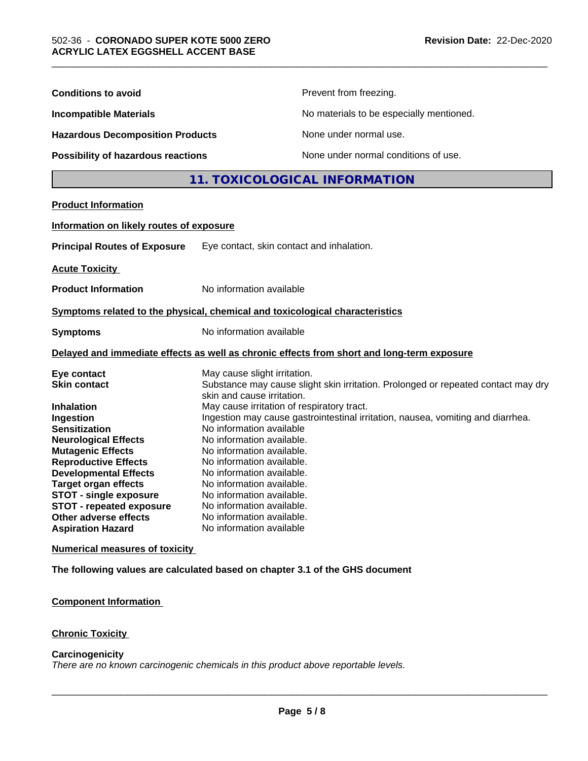| <b>Conditions to avoid</b>                                                    |                                                        | Prevent from freezing.                                                                     |  |
|-------------------------------------------------------------------------------|--------------------------------------------------------|--------------------------------------------------------------------------------------------|--|
| <b>Incompatible Materials</b>                                                 |                                                        | No materials to be especially mentioned.                                                   |  |
| <b>Hazardous Decomposition Products</b><br>Possibility of hazardous reactions |                                                        | None under normal use.                                                                     |  |
|                                                                               |                                                        | None under normal conditions of use.                                                       |  |
|                                                                               |                                                        | 11. TOXICOLOGICAL INFORMATION                                                              |  |
| <b>Product Information</b>                                                    |                                                        |                                                                                            |  |
| Information on likely routes of exposure                                      |                                                        |                                                                                            |  |
|                                                                               |                                                        |                                                                                            |  |
| <b>Principal Routes of Exposure</b>                                           | Eye contact, skin contact and inhalation.              |                                                                                            |  |
| <b>Acute Toxicity</b>                                                         |                                                        |                                                                                            |  |
| <b>Product Information</b>                                                    | No information available                               |                                                                                            |  |
| Symptoms related to the physical, chemical and toxicological characteristics  |                                                        |                                                                                            |  |
| <b>Symptoms</b>                                                               | No information available                               |                                                                                            |  |
|                                                                               |                                                        | Delayed and immediate effects as well as chronic effects from short and long-term exposure |  |
| Eye contact                                                                   | May cause slight irritation.                           |                                                                                            |  |
| <b>Skin contact</b>                                                           |                                                        | Substance may cause slight skin irritation. Prolonged or repeated contact may dry          |  |
|                                                                               | skin and cause irritation.                             |                                                                                            |  |
| <b>Inhalation</b>                                                             | May cause irritation of respiratory tract.             |                                                                                            |  |
| Ingestion                                                                     |                                                        | Ingestion may cause gastrointestinal irritation, nausea, vomiting and diarrhea.            |  |
| <b>Sensitization</b>                                                          | No information available                               |                                                                                            |  |
| <b>Neurological Effects</b>                                                   | No information available.<br>No information available. |                                                                                            |  |
| <b>Mutagenic Effects</b><br><b>Reproductive Effects</b>                       | No information available.                              |                                                                                            |  |
| <b>Developmental Effects</b>                                                  | No information available.                              |                                                                                            |  |
| <b>Target organ effects</b>                                                   | No information available.                              |                                                                                            |  |
| <b>STOT - single exposure</b>                                                 | No information available.                              |                                                                                            |  |
| <b>STOT - repeated exposure</b>                                               | No information available.                              |                                                                                            |  |
| Other adverse effects                                                         | No information available.                              |                                                                                            |  |
| <b>Aspiration Hazard</b>                                                      | No information available                               |                                                                                            |  |
| <b>Numerical measures of toxicity</b>                                         |                                                        |                                                                                            |  |
| The following values are calculated based on chapter 3.1 of the GHS document  |                                                        |                                                                                            |  |
|                                                                               |                                                        |                                                                                            |  |

**Component Information**

**Chronic Toxicity**

# **Carcinogenicity**

*There are no known carcinogenic chemicals in this product above reportable levels.*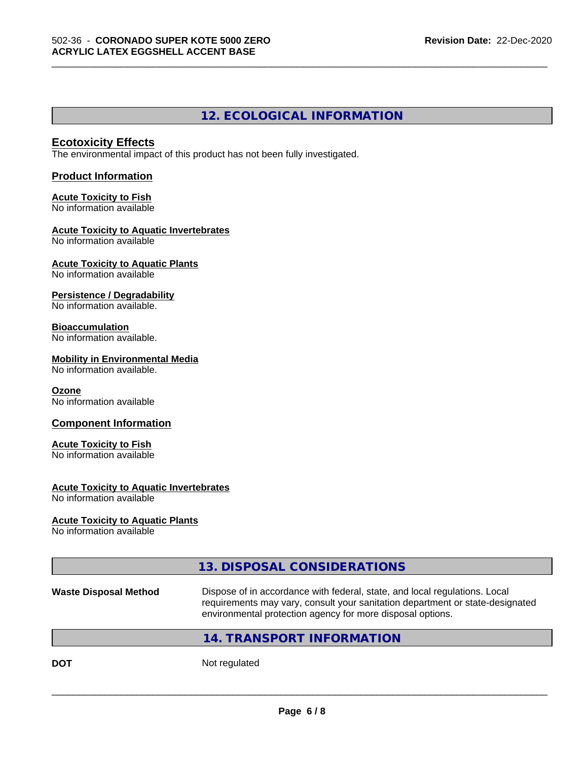# **12. ECOLOGICAL INFORMATION**

\_\_\_\_\_\_\_\_\_\_\_\_\_\_\_\_\_\_\_\_\_\_\_\_\_\_\_\_\_\_\_\_\_\_\_\_\_\_\_\_\_\_\_\_\_\_\_\_\_\_\_\_\_\_\_\_\_\_\_\_\_\_\_\_\_\_\_\_\_\_\_\_\_\_\_\_\_\_\_\_\_\_\_\_\_\_\_\_\_\_\_\_\_

# **Ecotoxicity Effects**

The environmental impact of this product has not been fully investigated.

#### **Product Information**

#### **Acute Toxicity to Fish** No information available

# **Acute Toxicity to Aquatic Invertebrates**

No information available

#### **Acute Toxicity to Aquatic Plants** No information available

# **Persistence / Degradability**

No information available.

# **Bioaccumulation**

No information available.

# **Mobility in Environmental Media**

No information available.

# **Ozone**

No information available

# **Component Information**

# **Acute Toxicity to Fish**

No information available

#### **Acute Toxicity to Aquatic Invertebrates**

No information available

#### **Acute Toxicity to Aquatic Plants**

No information available

# **13. DISPOSAL CONSIDERATIONS**

| <b>Waste Disposal Method</b> | Dispose of in accordance with federal, state, and local regulations. Local    |
|------------------------------|-------------------------------------------------------------------------------|
|                              | requirements may vary, consult your sanitation department or state-designated |
|                              | environmental protection agency for more disposal options.                    |

# **14. TRANSPORT INFORMATION**

**DOT** Not regulated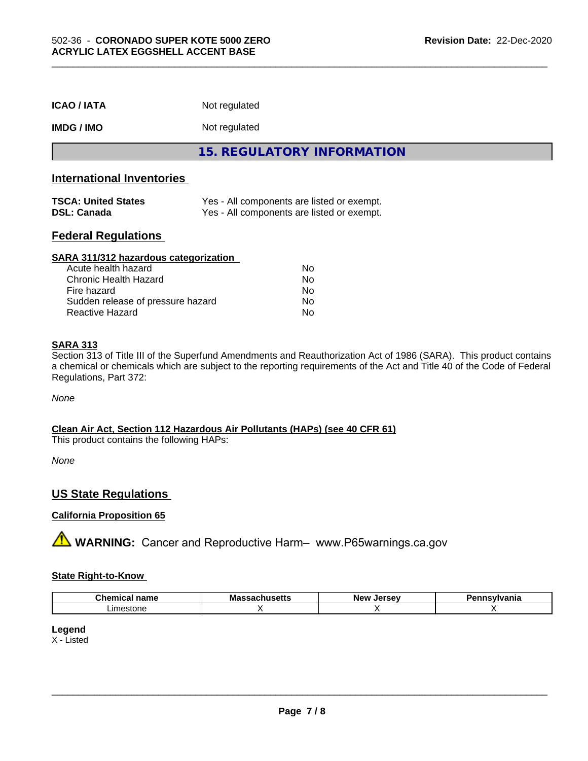| <b>ICAO/IATA</b>                                 | Not regulated                                                                            |  |
|--------------------------------------------------|------------------------------------------------------------------------------------------|--|
| <b>IMDG/IMO</b>                                  | Not regulated                                                                            |  |
|                                                  | 15. REGULATORY INFORMATION                                                               |  |
| <b>International Inventories</b>                 |                                                                                          |  |
| <b>TSCA: United States</b><br><b>DSL: Canada</b> | Yes - All components are listed or exempt.<br>Yes - All components are listed or exempt. |  |

# **Federal Regulations**

| SARA 311/312 hazardous categorization |    |  |
|---------------------------------------|----|--|
| Acute health hazard                   | Nο |  |
| Chronic Health Hazard                 | No |  |
| Fire hazard                           | No |  |
| Sudden release of pressure hazard     | No |  |
| <b>Reactive Hazard</b>                | No |  |

#### **SARA 313**

Section 313 of Title III of the Superfund Amendments and Reauthorization Act of 1986 (SARA). This product contains a chemical or chemicals which are subject to the reporting requirements of the Act and Title 40 of the Code of Federal Regulations, Part 372:

*None*

# **Clean Air Act,Section 112 Hazardous Air Pollutants (HAPs) (see 40 CFR 61)**

This product contains the following HAPs:

*None*

# **US State Regulations**

#### **California Proposition 65**

**A WARNING:** Cancer and Reproductive Harm– www.P65warnings.ca.gov

#### **State Right-to-Know**

| нашс                         | . .<br>.<br>. | 'N. |  |
|------------------------------|---------------|-----|--|
| ∟ım∈<br><b>001</b><br>m<br>. |               |     |  |

#### **Legend**

X - Listed